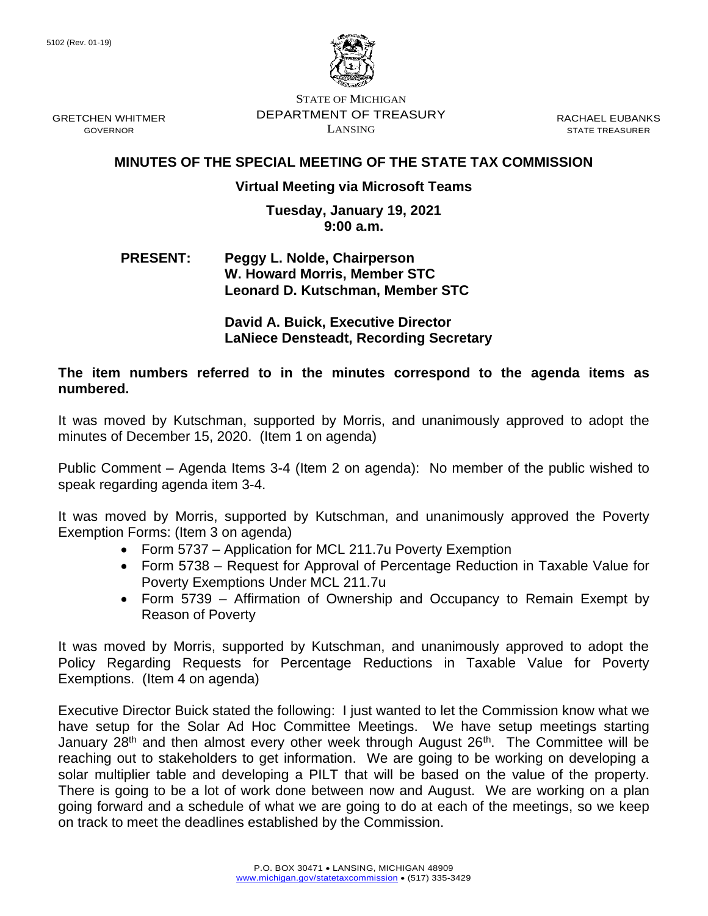GRETCHEN WHITMER GOVERNOR



STATE OF MICHIGAN DEPARTMENT OF TREASURY LANSING

RACHAEL EUBANKS STATE TREASURER

## **MINUTES OF THE SPECIAL MEETING OF THE STATE TAX COMMISSION**

## **Virtual Meeting via Microsoft Teams**

## **Tuesday, January 19, 2021 9:00 a.m.**

## **PRESENT: Peggy L. Nolde, Chairperson W. Howard Morris, Member STC Leonard D. Kutschman, Member STC**

**David A. Buick, Executive Director LaNiece Densteadt, Recording Secretary**

**The item numbers referred to in the minutes correspond to the agenda items as numbered.**

It was moved by Kutschman, supported by Morris, and unanimously approved to adopt the minutes of December 15, 2020. (Item 1 on agenda)

Public Comment – Agenda Items 3-4 (Item 2 on agenda): No member of the public wished to speak regarding agenda item 3-4.

It was moved by Morris, supported by Kutschman, and unanimously approved the Poverty Exemption Forms: (Item 3 on agenda)

- Form 5737 Application for MCL 211.7u Poverty Exemption
- Form 5738 Request for Approval of Percentage Reduction in Taxable Value for Poverty Exemptions Under MCL 211.7u
- Form 5739 Affirmation of Ownership and Occupancy to Remain Exempt by Reason of Poverty

It was moved by Morris, supported by Kutschman, and unanimously approved to adopt the Policy Regarding Requests for Percentage Reductions in Taxable Value for Poverty Exemptions. (Item 4 on agenda)

Executive Director Buick stated the following: I just wanted to let the Commission know what we have setup for the Solar Ad Hoc Committee Meetings. We have setup meetings starting January 28<sup>th</sup> and then almost every other week through August 26<sup>th</sup>. The Committee will be reaching out to stakeholders to get information. We are going to be working on developing a solar multiplier table and developing a PILT that will be based on the value of the property. There is going to be a lot of work done between now and August. We are working on a plan going forward and a schedule of what we are going to do at each of the meetings, so we keep on track to meet the deadlines established by the Commission.